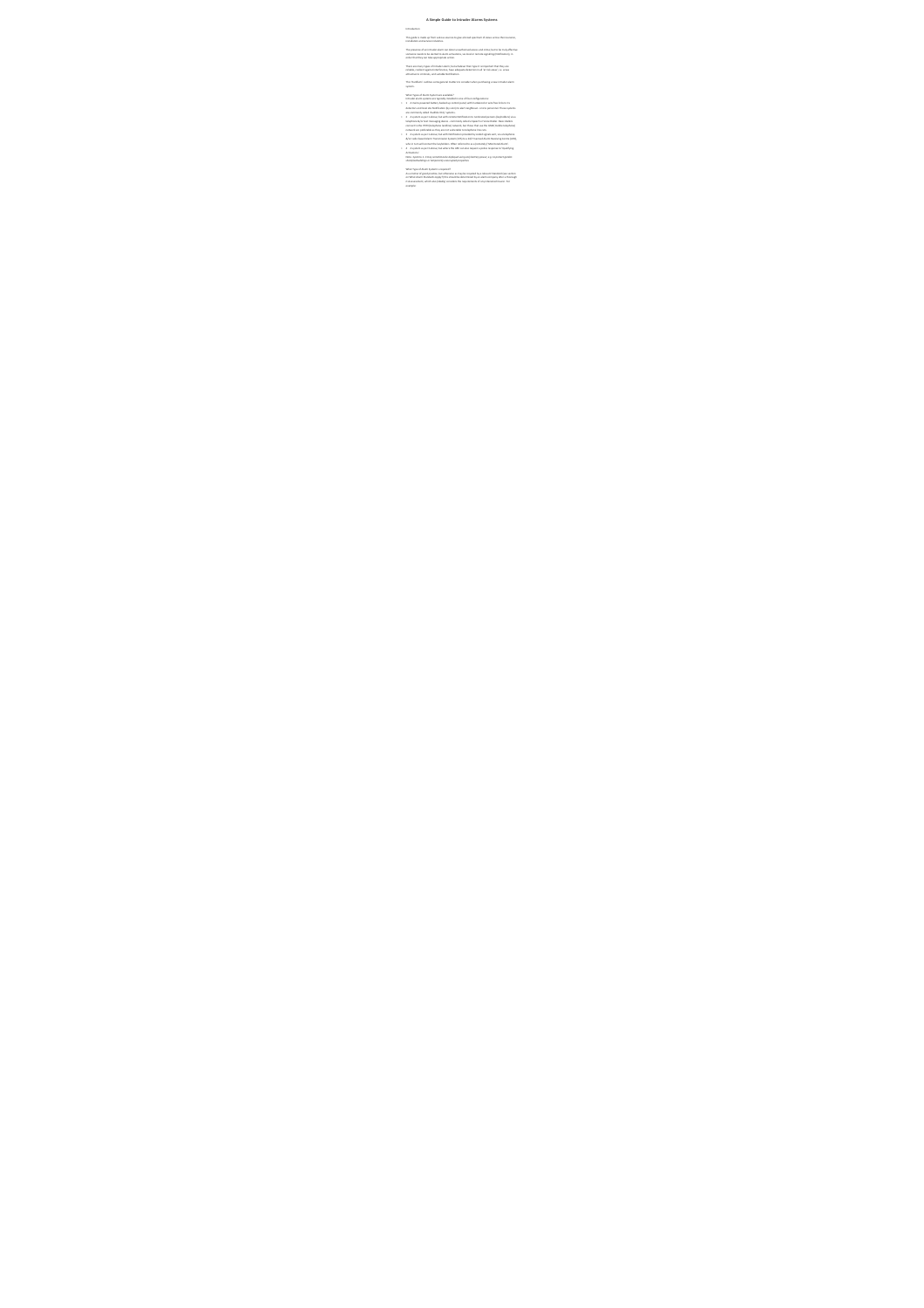**A Simple Guide to Intruder Alarms Systems**  Introduction This guide is made up from various sources to give a broad spectrum of views across the insurance, installation and service industries. The presence of an intruder alarm can deter unauthorised access and crime; but to be truly effective someone needs to be alerted to alarm activations, via local or remote signalling (Notification), in order that they can take appropriate action. There are many types of intruder alarm; but whatever their type it is important that they are reliable, resilient against interference, have adequate detection in all 'at risk areas', i.e. areas attractive to criminals, and suitable Notification. This 'Hardfacts' outlines some general matters to consider when purchasing a new intruder alarm system. What Types of Alarm System are available? Intruder alarm systems are typically installed in one of four configurations: • 1 A mains powered battery backed up control panel; with hardwired or wire free links to its detectors and local site Notification (by siren) to alert neighbours or site personnel. These systems are commonly called 'Audible Only' systems. • 2 A system as per 1 above; but with remote Notification to nominated persons (keyholders) via a telephone &/or text messaging device - commonly called a Speech or Voice Dialler. Basic diallers connect to the PSTN (telephone landline) network, but those that use the GSM (mobile telephone) network are preferable as they are not vulnerable to telephone line cuts. • 3 A system as per 1 above; but with Notification provided by coded signals sent, via a telephone &/or radio based Alarm Transmission System (ATS) to a 24/7 manned Alarm Receiving Centre (ARC), who in turn will contact the keyholders. Often referred to as a (remotely) 'Monitored Alarm'. • 4 A system as per 3 above; but where the ARC can also request a police response to 'Qualifying Activations'. Note. *Systems 1- 3 may sometimes be deployed using only battery power, e.g. to protect garden sheds/outbuildings or temporarily unoccupied properties.* What Type of Alarm System is required? As a matter of good practice, but otherwise as may be required by a relevant Standard (see section on What Alarm Standards Apply?) this should be determined by an alarm company after a thorough risk assessment, which also (ideally) considers the requirements of any interested insurer. For example: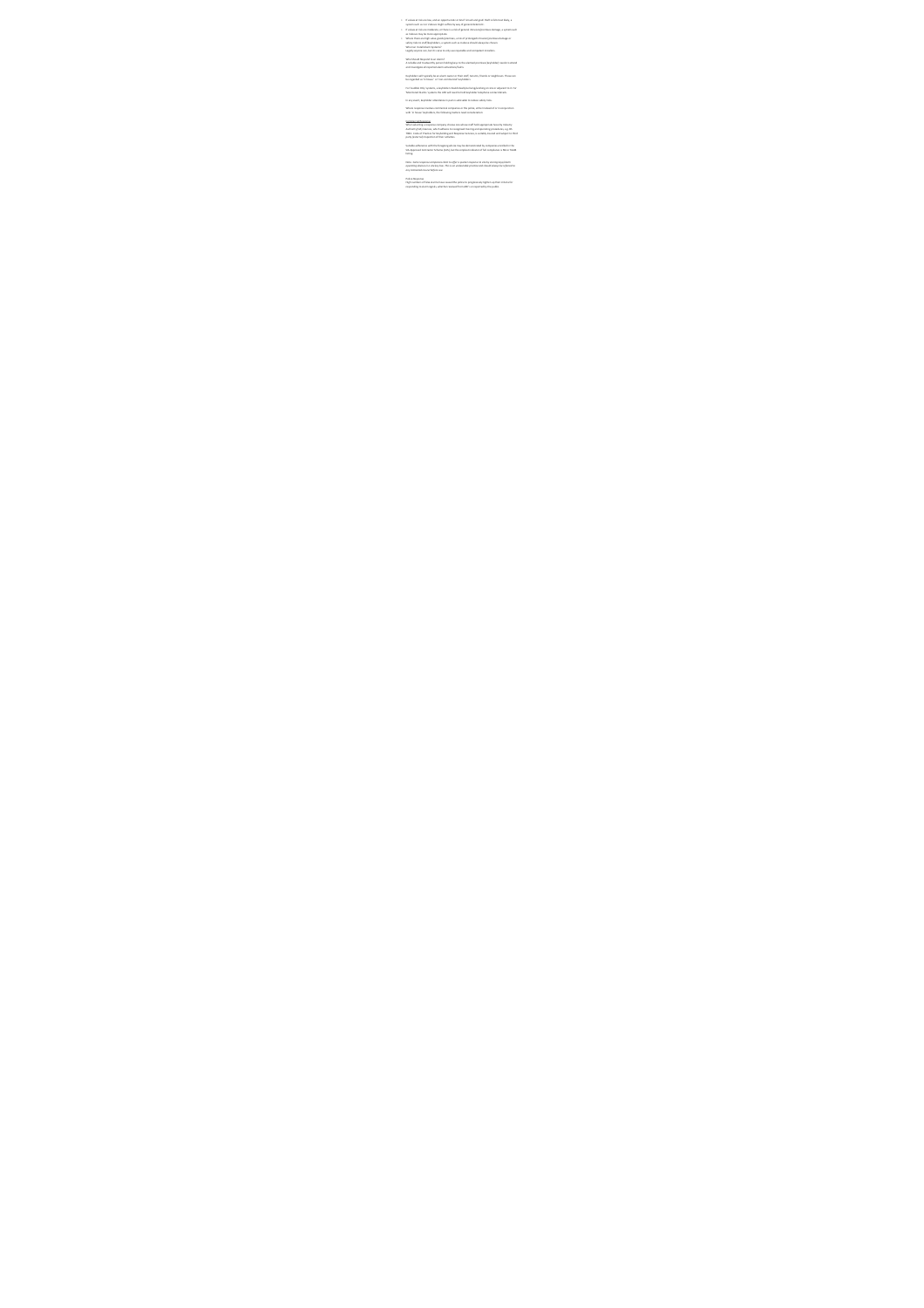$\label{eq:R1} The number of the data is a set of the data is a set of the data is a set of the data is a set of the data is a set of the data is a set of the data is a set of the data is a set of the data is a set of the data is a set of the data is a set of the data is a set of the data is a set of the data is a set of the data is a set of the data is a set of the data is a set of the data is a set of the data is a set of the data is a set of the data is a set of the data is a set of the data is a set of the data is a set of the data is a set of the data is a set of the data is a set of the data is a set of the data is a set of the data is a set of the data is a set of the data is a set of the data is a set of the data is a set of the data is a set$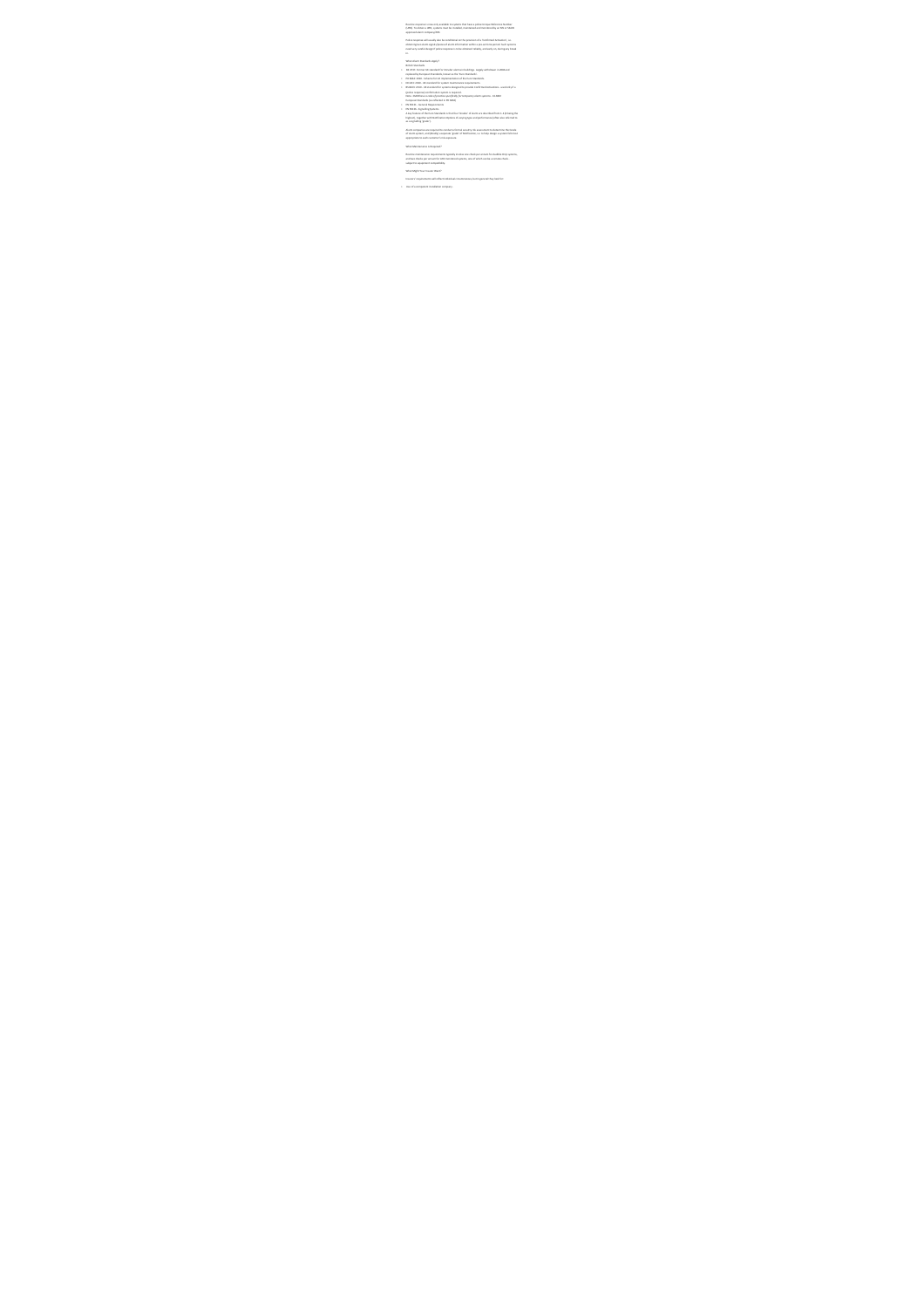$\label{eq:2} The general solution is a function of the solution is a function of the solution is a function of the solution is a function of the solution is a function of the solution is a function of the solution is a function of the solution is a function of the solution is a function of the solution is a function of the solution is a function of the solution is a function of the solution is a function of the solution is a function of the solution is a function of the solution is a function of the solution is a function of the solution is a function of the solution is a function of the solution is a function of the solution is a function of the solution is a function of the solution is a function of the solution is a function of the solution is a function of the solution is a function of the solution is a function of the solution is a function of the solution is a function of the solution is a function of the solution is a function of the solution is a function of the solution is a function of the solution is a function of the solution is a function of the solution$